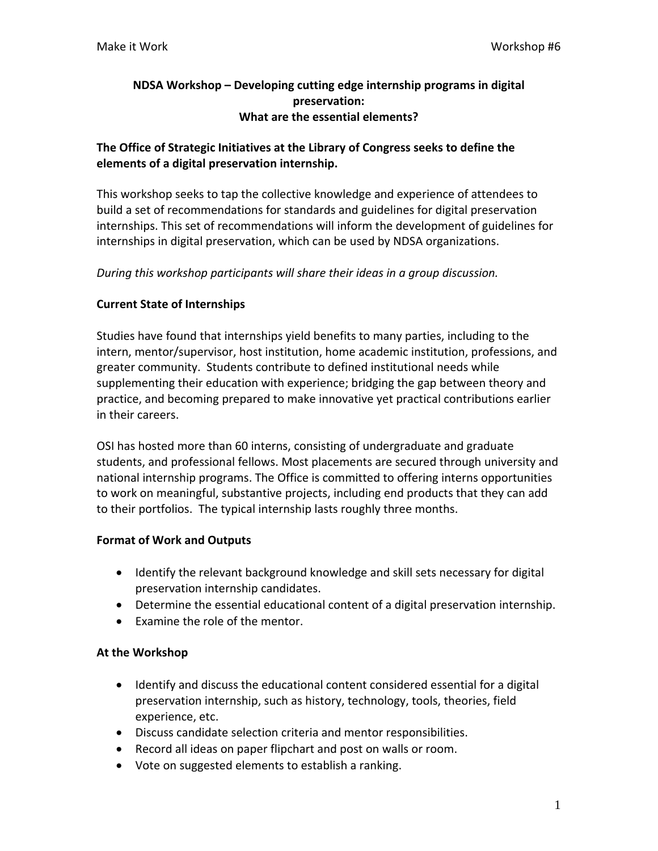## **NDSA Workshop – Developing cutting edge internship programs in digital preservation: What are the essential elements?**

# **The Office of Strategic Initiatives at the Library of Congress seeks to define the elements of a digital preservation internship.**

This workshop seeks to tap the collective knowledge and experience of attendees to build a set of recommendations for standards and guidelines for digital preservation internships. This set of recommendations will inform the development of guidelines for internships in digital preservation, which can be used by NDSA organizations.

*During this workshop participants will share their ideas in a group discussion.*

#### **Current State of Internships**

Studies have found that internships yield benefits to many parties, including to the intern, mentor/supervisor, host institution, home academic institution, professions, and greater community. Students contribute to defined institutional needs while supplementing their education with experience; bridging the gap between theory and practice, and becoming prepared to make innovative yet practical contributions earlier in their careers.

OSI has hosted more than 60 interns, consisting of undergraduate and graduate students, and professional fellows. Most placements are secured through university and national internship programs. The Office is committed to offering interns opportunities to work on meaningful, substantive projects, including end products that they can add to their portfolios. The typical internship lasts roughly three months.

## **Format of Work and Outputs**

- Identify the relevant background knowledge and skill sets necessary for digital preservation internship candidates.
- Determine the essential educational content of a digital preservation internship.
- Examine the role of the mentor.

#### **At the Workshop**

- Identify and discuss the educational content considered essential for a digital preservation internship, such as history, technology, tools, theories, field experience, etc.
- Discuss candidate selection criteria and mentor responsibilities.
- Record all ideas on paper flipchart and post on walls or room.
- Vote on suggested elements to establish a ranking.